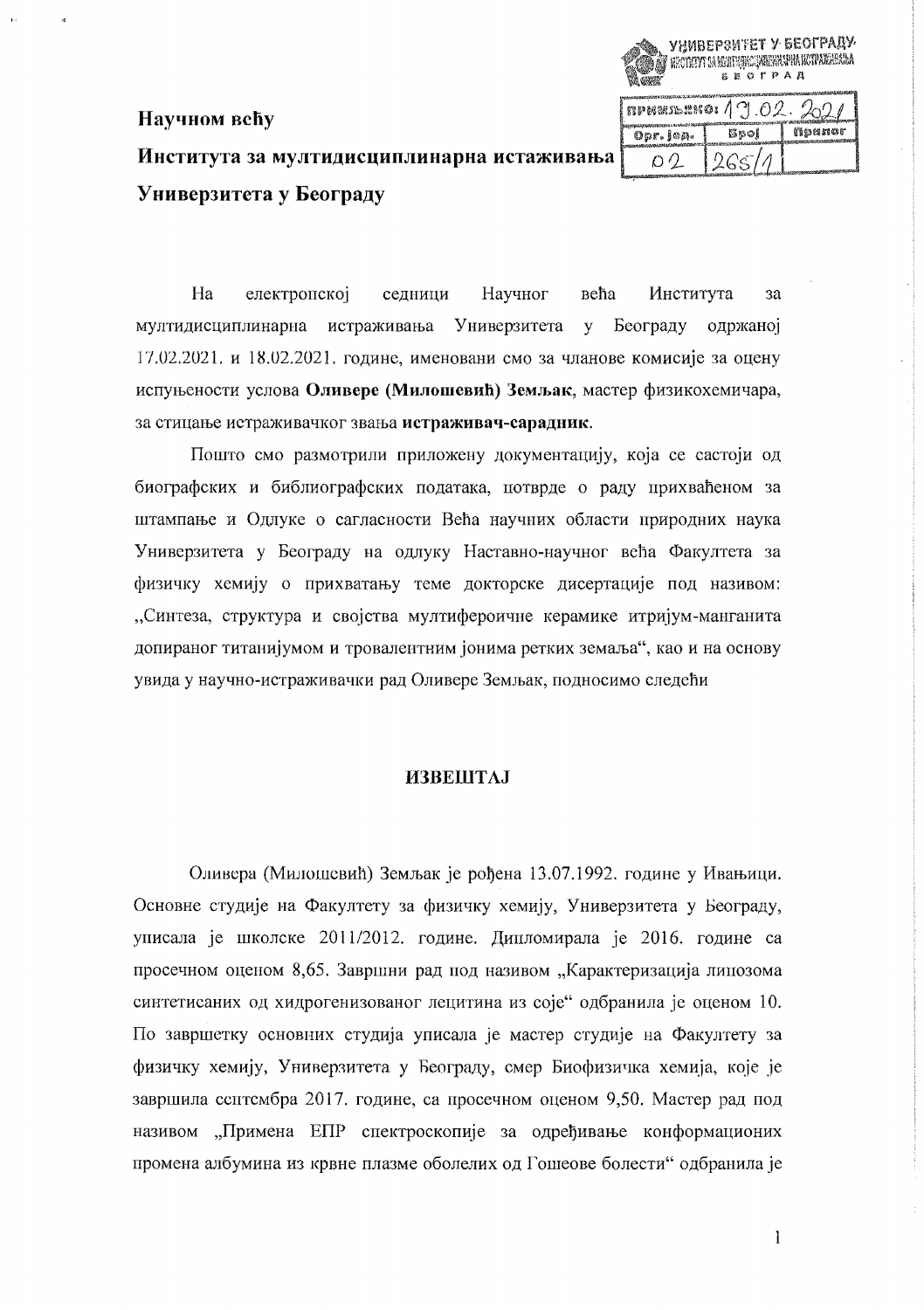# Института за мултидисциплинарна истаживања Универзитета у Београду

Научном већу

E RECTITYT DA ATHLETING AREA HAN HAT A NOTABLIA A L **SEQTPAA**  $n$   $\alpha$   $\beta$   $\beta$  $202$ приног Bpoi  $0pr$ .  $1 \circ p$ . 265/1  $O<sub>2</sub>$ 

УНИВЕРЗИТЕТ У БЕОГРАДУ

Ha електронској седници Научног већа Института  $3a$ мултидисциплинарна истраживања Универзитета  $\mathbf{v}$ Београду одржаној 17.02.2021. и 18.02.2021. године, именовани смо за чланове комисије за оцену испуњености услова Оливере (Милошевић) Земљак, мастер физикохемичара, за стицање истраживачког звања истраживач-сарадник.

Пошто смо размотрили приложену документацију, која се састоји од биографских и библиографских података, потврде о раду прихваћеном за штампање и Одлуке о сагласности Већа научних области природних наука Универзитета у Београду на одлуку Наставно-научног већа Факултета за физичку хемију о прихватању теме докторске дисертације под називом: "Синтеза, структура и својства мултифероичне керамике итријум-манганита допираног титанијумом и тровалентним јонима ретких земаља", као и на основу увида у научно-истраживачки рад Оливере Земљак, подносимо следећи

## **ИЗВЕШТАЈ**

Оливера (Милошевић) Земљак је рођена 13.07.1992. године у Ивањици. Основне студије на Факултету за физичку хемију, Универзитета у Београду, уписала је школске 2011/2012. године. Дипломирала је 2016. године са просечном оценом 8,65. Завршни рад под називом "Карактеризација липозома синтетисаних од хидрогенизованог лецитина из соје" одбранила је оценом 10. По завршетку основних студија уписала је мастер студије на Факултету за физичку хемију, Универзитета у Београду, смер Биофизичка хемија, које је завршила ссптсмбра 2017. године, са просечном оценом 9,50. Мастер рад под називом "Примена ЕПР спектроскопије за одређивање конформационих промена албумина из крвне плазме оболелих од Гошеове болести" одбранила је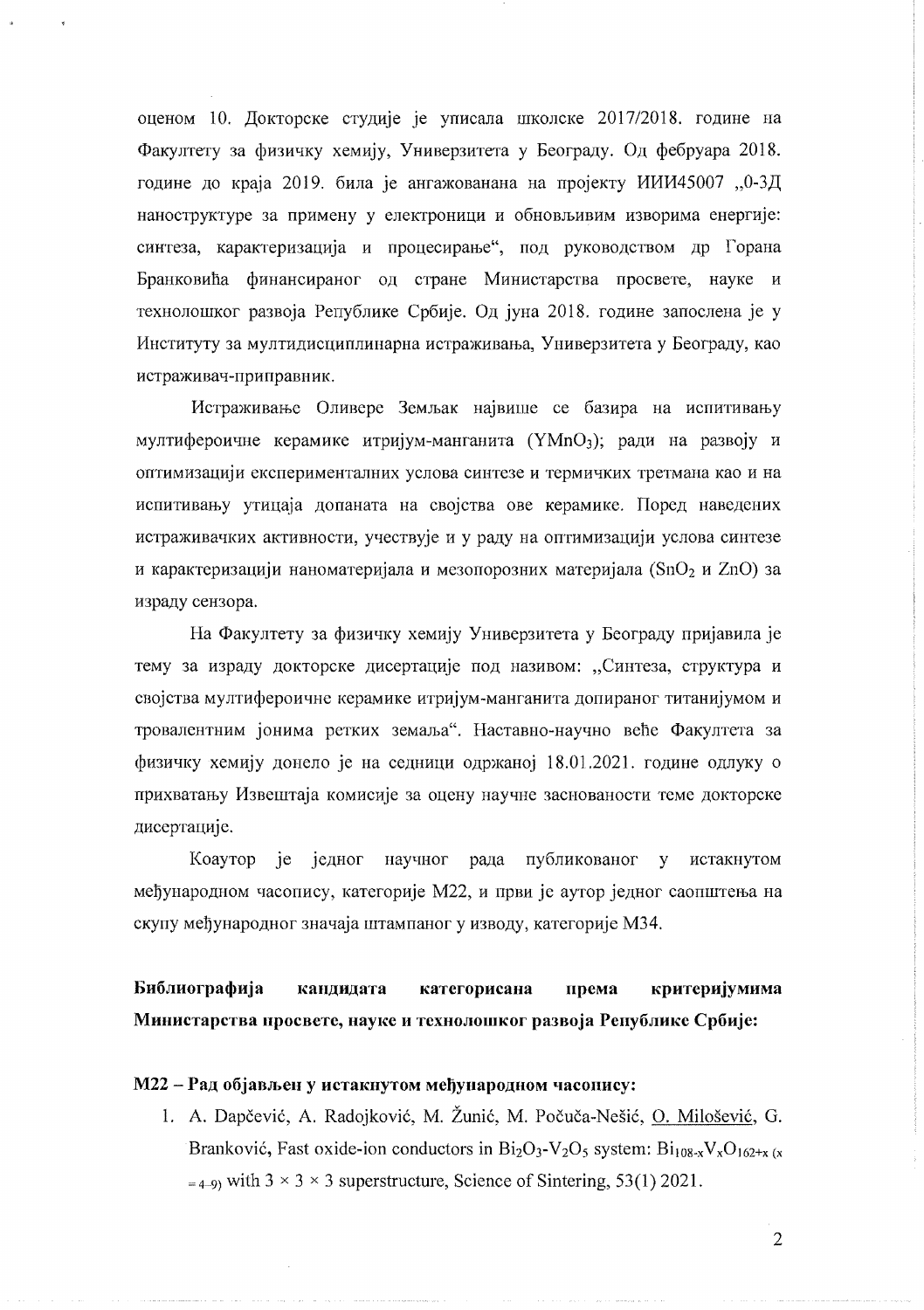оценом 10. Локторске студије је уписала школске 2017/2018. године на Факултету за физичку хемију, Универзитета у Београду. Од фебруара 2018. године до краја 2019. била је ангажованана на пројекту ИИИ45007 "0-3Д наноструктуре за примену у електроници и обновљивим изворима енергије: синтеза, карактеризација и процесирање", под руководством др Горана Бранковића финансираног од стране Министарства просвете, науке и технолошког развоја Републике Србије. Од јуна 2018. године запослена је у Институту за мултидисциплинарна истраживања, Универзитета у Београду, као истраживач-приправник.

Истраживање Оливере Земљак највише се базира на испитивању мултифероичне керамике итријум-манганита (YMnO3); ради на развоју и оптимизацији експерименталних услова синтезе и термичких третмана као и на испитивању утицаја допаната на својства ове керамике. Поред наведених истраживачких активности, учествује и у раду на оптимизацији услова синтезе и карактеризацији наноматеријала и мезопорозних материјала (SnO<sub>2</sub> и ZnO) за израду сензора.

На Факултету за физичку хемију Универзитета у Београду пријавила је тему за израду докторске дисертације под називом: "Синтеза, структура и својства мултифероичне керамике итријум-манганита допираног титанијумом и тровалентним јонима ретких земаља". Наставно-научно веће Факултета за физичку хемију донело је на седници одржаној 18.01.2021. године одлуку о прихватању Извештаја комисије за оцену научне заснованости теме докторске дисертације.

је једног научног рада публикованог Коаутор истакнутом  $\mathbf{v}$ међународном часопису, категорије М22, и први је аутор једног саопштења на скупу међународног значаја штампаног у изводу, категорије МЗ4.

Библиографија кандидата категорисана критеријумима према Министарства просвете, науке и технолошког развоја Републике Србије:

#### M22 - Рад објављен у истакнутом међународном часопису:

1. A. Dapčević, A. Radojković, M. Žunić, M. Počuča-Nešić, O. Milošević, G. Branković, Fast oxide-ion conductors in  $Bi_2O_3$ -V<sub>2</sub>O<sub>5</sub> system:  $Bi_{108-x}V_xO_{162+x(x)}$  $=$  4.9) with 3  $\times$  3  $\times$  3 superstructure, Science of Sintering, 53(1) 2021.

 $\overline{2}$